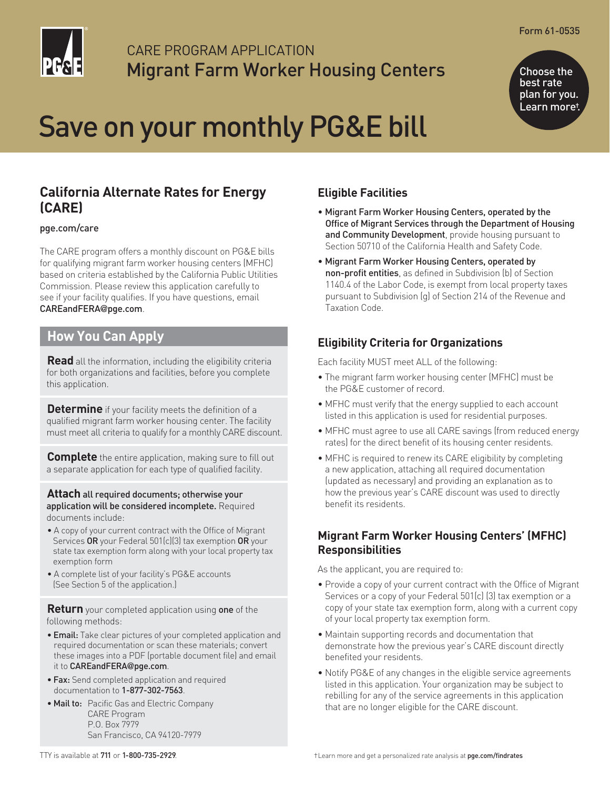

## CARE PROGRAM APPLICATION Migrant Farm Worker Housing Centers

Form 61-0535

Choose the best rate plan for you. Learn more†.

# Save on your monthly PG&E bill

### **California Alternate Rates for Energy (CARE)**

#### [pge.com/care](https://www.pge.com/en_US/residential/save-energy-money/help-paying-your-bill/longer-term-assistance/care/care.page?WT.mc_id=Vanity_care)

The CARE program offers a monthly discount on PG&E bills for qualifying migrant farm worker housing centers (MFHC) based on criteria established by the California Public Utilities Commission. Please review this application carefully to see if your facility qualifies. If you have questions, email [CAREandFERA](mailto:CAREandFERA@pge.com)@pge.com.

#### **How You Can Apply**

**Read** all the information, including the eligibility criteria for both organizations and facilities, before you complete this application.

**Determine** if your facility meets the definition of a qualified migrant farm worker housing center. The facility must meet all criteria to qualify for a monthly CARE discount.

**Complete** the entire application, making sure to fill out a separate application for each type of qualified facility.

**Attach** all required documents; otherwise your application will be considered incomplete. Required documents include:

- A copy of your current contract with the Office of Migrant Services OR your Federal 501(c)(3) tax exemption OR your state tax exemption form along with your local property tax exemption form
- A complete list of your facility's PG&E accounts (See Section 5 of the application.)

**Return** your completed application using one of the following methods:

- Email: Take clear pictures of your completed application and required documentation or scan these materials; convert these images into a PDF (portable document file) and email it to [CAREandFERA](mailto:CAREandFERA@pge.com)@pge.com.
- Fax: Send completed application and required documentation to 1-877-302-7563.
- Mail to: Pacific Gas and Electric Company CARE Program P.O. Box 7979 San Francisco, CA 94120-7979

#### **Eligible Facilities**

- Migrant Farm Worker Housing Centers, operated by the Office of Migrant Services through the Department of Housing and Community Development, provide housing pursuant to Section 50710 of the California Health and Safety Code.
- Migrant Farm Worker Housing Centers, operated by non-profit entities, as defined in Subdivision (b) of Section 1140.4 of the Labor Code, is exempt from local property taxes pursuant to Subdivision (g) of Section 214 of the Revenue and Taxation Code.

#### **Eligibility Criteria for Organizations**

Each facility MUST meet ALL of the following:

- The migrant farm worker housing center (MFHC) must be the PG&E customer of record.
- MFHC must verify that the energy supplied to each account listed in this application is used for residential purposes.
- MFHC must agree to use all CARE savings (from reduced energy rates) for the direct benefit of its housing center residents.
- MFHC is required to renew its CARE eligibility by completing a new application, attaching all required documentation (updated as necessary) and providing an explanation as to how the previous year's CARE discount was used to directly benefit its residents.

#### **Migrant Farm Worker Housing Centers' (MFHC) Responsibilities**

As the applicant, you are required to:

- Provide a copy of your current contract with the Office of Migrant Services or a copy of your Federal 501(c) (3) tax exemption or a copy of your state tax exemption form, along with a current copy of your local property tax exemption form.
- Maintain supporting records and documentation that demonstrate how the previous year's CARE discount directly benefited your residents.
- Notify PG&E of any changes in the eligible service agreements listed in this application. Your organization may be subject to rebilling for any of the service agreements in this application that are no longer eligible for the CARE discount.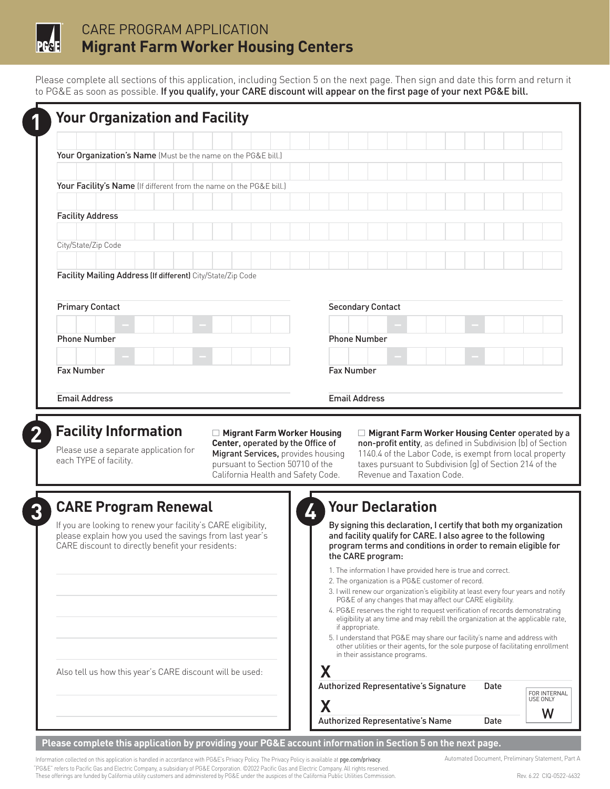

## CARE PROGRAM APPLICATION **Migrant Farm Worker Housing Centers**

Please complete all sections of this application, including Section 5 on the next page. Then sign and date this form and return it to PG&E as soon as possible. If you qualify, your CARE discount will appear on the first page of your next PG&E bill.

| Your Organization's Name (Must be the name on the PG&E bill.)<br>Your Facility's Name (If different from the name on the PG&E bill.)<br><b>Facility Address</b>                |                                                                                                                                                                                                                                                                    |
|--------------------------------------------------------------------------------------------------------------------------------------------------------------------------------|--------------------------------------------------------------------------------------------------------------------------------------------------------------------------------------------------------------------------------------------------------------------|
|                                                                                                                                                                                |                                                                                                                                                                                                                                                                    |
|                                                                                                                                                                                |                                                                                                                                                                                                                                                                    |
|                                                                                                                                                                                |                                                                                                                                                                                                                                                                    |
|                                                                                                                                                                                |                                                                                                                                                                                                                                                                    |
| City/State/Zip Code                                                                                                                                                            |                                                                                                                                                                                                                                                                    |
|                                                                                                                                                                                |                                                                                                                                                                                                                                                                    |
| Facility Mailing Address (If different) City/State/Zip Code                                                                                                                    |                                                                                                                                                                                                                                                                    |
| <b>Primary Contact</b>                                                                                                                                                         | <b>Secondary Contact</b>                                                                                                                                                                                                                                           |
|                                                                                                                                                                                |                                                                                                                                                                                                                                                                    |
| <b>Phone Number</b>                                                                                                                                                            | <b>Phone Number</b>                                                                                                                                                                                                                                                |
|                                                                                                                                                                                |                                                                                                                                                                                                                                                                    |
| <b>Fax Number</b>                                                                                                                                                              |                                                                                                                                                                                                                                                                    |
|                                                                                                                                                                                | <b>Fax Number</b>                                                                                                                                                                                                                                                  |
| <b>Email Address</b><br><b>Facility Information</b><br>□ Migrant Farm Worker Housing<br>Center, operated by the Office of<br>Please use a separate application for             | <b>Email Address</b><br>□ Migrant Farm Worker Housing Center operated by a<br>non-profit entity, as defined in Subdivision (b) of Section                                                                                                                          |
| Migrant Services, provides housing<br>each TYPE of facility.<br>pursuant to Section 50710 of the<br>California Health and Safety Code.                                         | 1140.4 of the Labor Code, is exempt from local property<br>taxes pursuant to Subdivision (q) of Section 214 of the<br>Revenue and Taxation Code.                                                                                                                   |
|                                                                                                                                                                                |                                                                                                                                                                                                                                                                    |
| <b>CARE Program Renewal</b>                                                                                                                                                    | <b>Your Declaration</b><br>4                                                                                                                                                                                                                                       |
| If you are looking to renew your facility's CARE eligibility,<br>please explain how you used the savings from last year's<br>CARE discount to directly benefit your residents: | By signing this declaration, I certify that both my organization<br>and facility qualify for CARE. I also agree to the following<br>program terms and conditions in order to remain eligible for<br>the CARE program:                                              |
|                                                                                                                                                                                | 1. The information I have provided here is true and correct.<br>2. The organization is a PG&E customer of record.                                                                                                                                                  |
|                                                                                                                                                                                | 3. I will renew our organization's eligibility at least every four years and notify<br>PG&E of any changes that may affect our CARE eligibility.<br>4. PG&E reserves the right to request verification of records demonstrating                                    |
|                                                                                                                                                                                | eligibility at any time and may rebill the organization at the applicable rate,<br>if appropriate.<br>5. I understand that PG&E may share our facility's name and address with<br>other utilities or their agents, for the sole purpose of facilitating enrollment |
| Also tell us how this year's CARE discount will be used:                                                                                                                       | in their assistance programs.<br>Χ                                                                                                                                                                                                                                 |

**Please complete this application by providing your PG&E account information in Section 5 on the next page.** 

Information collected on this application is handled in accordance with PG&E's Privacy Policy. The Privacy Policy is available at [pge.com/privacy](https://www.pge.com/en_US/about-pge/company-information/privacy-policy/privacy.page?WT.mc_id=Vanity_privacy). Automated Document, Preliminary Statement, Part A "PG&E" refers to Pacific Gas and Electric Company, a subsidiary of PG&E Corporation. ©2022 Pacific Gas and Electric Company. All rights reserved.<br>These offerings are funded by California utility customers and administered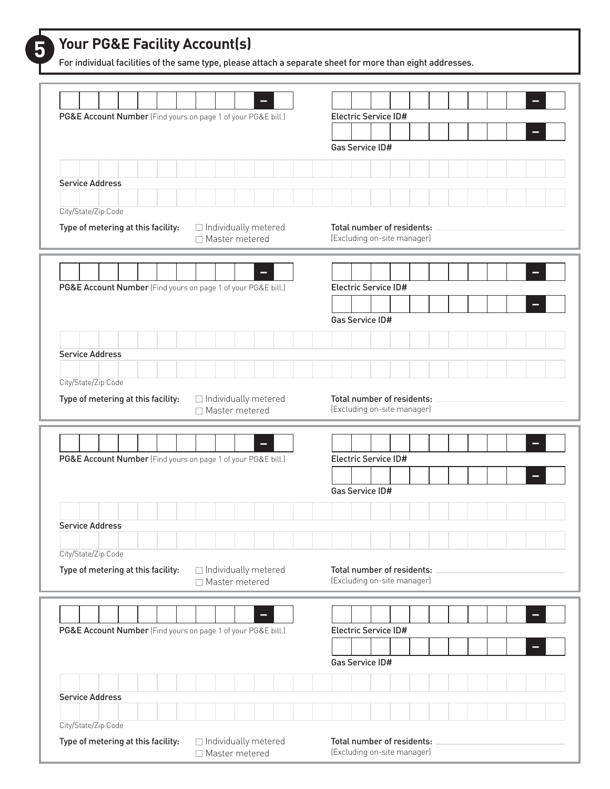For individual facilities of the same type, please attach a separate sheet for more than eight addresses.

| PG&E Account Number (Find yours on page 1 of your PG&E bill.) |                                            | Electric Service ID#                                      |
|---------------------------------------------------------------|--------------------------------------------|-----------------------------------------------------------|
|                                                               |                                            |                                                           |
|                                                               |                                            | Gas Service ID#                                           |
|                                                               |                                            |                                                           |
| <b>Service Address</b>                                        |                                            |                                                           |
| City/State/Zip Code                                           |                                            |                                                           |
| Type of metering at this facility:                            | □ Individually metered                     | Total number of residents:                                |
|                                                               | □ Master metered                           | (Excluding on-site manager)                               |
|                                                               |                                            |                                                           |
|                                                               |                                            |                                                           |
| PG&E Account Number (Find yours on page 1 of your PG&E bill.) |                                            | Electric Service ID#                                      |
|                                                               |                                            | Gas Service ID#                                           |
|                                                               |                                            |                                                           |
| <b>Service Address</b>                                        |                                            |                                                           |
|                                                               |                                            |                                                           |
| City/State/Zip Code                                           |                                            |                                                           |
| Type of metering at this facility:                            | □ Individually metered<br>□ Master metered | Total number of residents:<br>(Excluding on-site manager) |
|                                                               |                                            |                                                           |
|                                                               |                                            |                                                           |
| PG&E Account Number (Find yours on page 1 of your PG&E bill.) |                                            | Electric Service ID#                                      |
|                                                               |                                            |                                                           |
|                                                               |                                            | Gas Service ID#                                           |
|                                                               |                                            |                                                           |
| <b>Service Address</b>                                        |                                            |                                                           |
| City/State/Zip Code                                           |                                            |                                                           |
| Type of metering at this facility:                            | $\Box$ Individually metered                | Total number of residents:                                |
|                                                               | □ Master metered                           | (Excluding on-site manager)                               |
|                                                               |                                            |                                                           |
|                                                               |                                            | Electric Service ID#                                      |
| PG&E Account Number (Find yours on page 1 of your PG&E bill.) |                                            |                                                           |
|                                                               |                                            | Gas Service ID#                                           |
|                                                               |                                            |                                                           |
| <b>Service Address</b>                                        |                                            |                                                           |
|                                                               |                                            |                                                           |
| City/State/Zip Code                                           |                                            |                                                           |
| Type of metering at this facility:                            | □ Individually metered<br>□ Master metered | Total number of residents:<br>(Excluding on-site manager) |
|                                                               |                                            |                                                           |